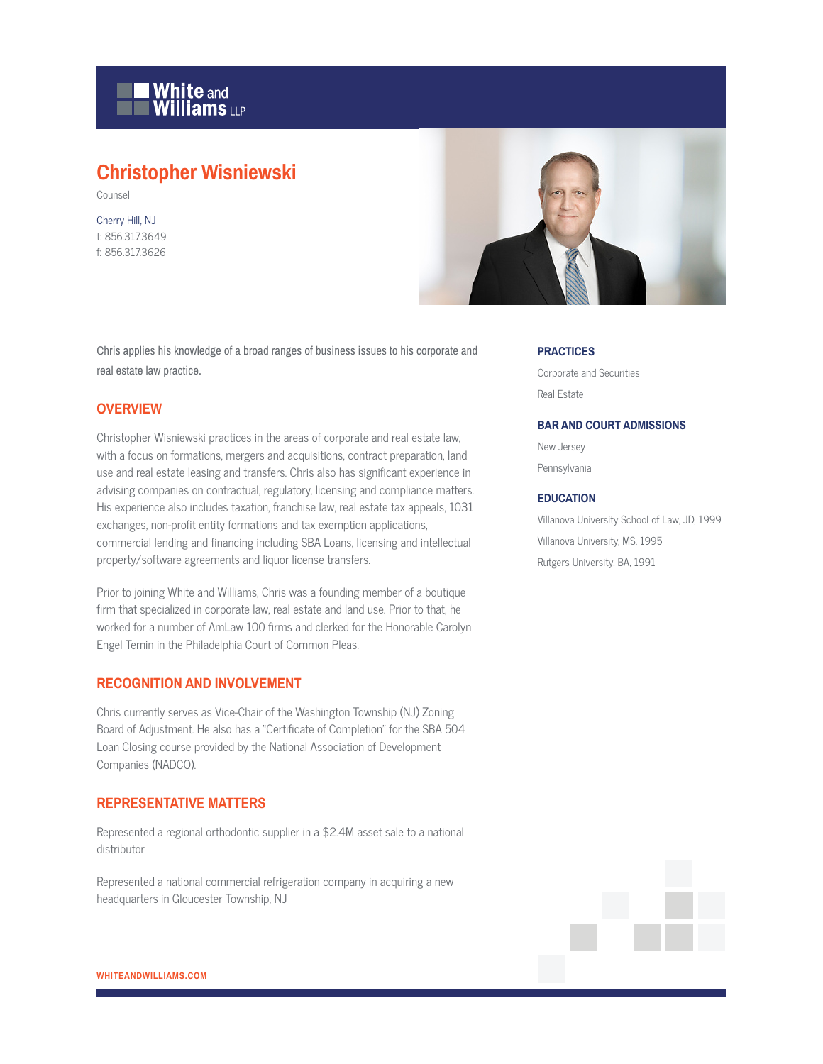

# **Christopher Wisniewski**

Counsel

Cherry Hill, NJ t: 856.317.3649 f: 856.317.3626



Chris applies his knowledge of a broad ranges of business issues to his corporate and real estate law practice.

# **OVERVIEW**

Christopher Wisniewski practices in the areas of corporate and real estate law, with a focus on formations, mergers and acquisitions, contract preparation, land use and real estate leasing and transfers. Chris also has significant experience in advising companies on contractual, regulatory, licensing and compliance matters. His experience also includes taxation, franchise law, real estate tax appeals, 1031 exchanges, non-profit entity formations and tax exemption applications, commercial lending and financing including SBA Loans, licensing and intellectual property/software agreements and liquor license transfers.

Prior to joining White and Williams, Chris was a founding member of a boutique firm that specialized in corporate law, real estate and land use. Prior to that, he worked for a number of AmLaw 100 firms and clerked for the Honorable Carolyn Engel Temin in the Philadelphia Court of Common Pleas.

# **RECOGNITION AND INVOLVEMENT**

Chris currently serves as Vice-Chair of the Washington Township (NJ) Zoning Board of Adjustment. He also has a "Certificate of Completion" for the SBA 504 Loan Closing course provided by the National Association of Development Companies (NADCO).

# **REPRESENTATIVE MATTERS**

Represented a regional orthodontic supplier in a \$2.4M asset sale to a national distributor

Represented a national commercial refrigeration company in acquiring a new headquarters in Gloucester Township, NJ

#### **PRACTICES**

Corporate and Securities Real Estate

### **BAR AND COURT ADMISSIONS**

New Jersey Pennsylvania

### **EDUCATION**

Villanova University School of Law, JD, 1999 Villanova University, MS, 1995 Rutgers University, BA, 1991

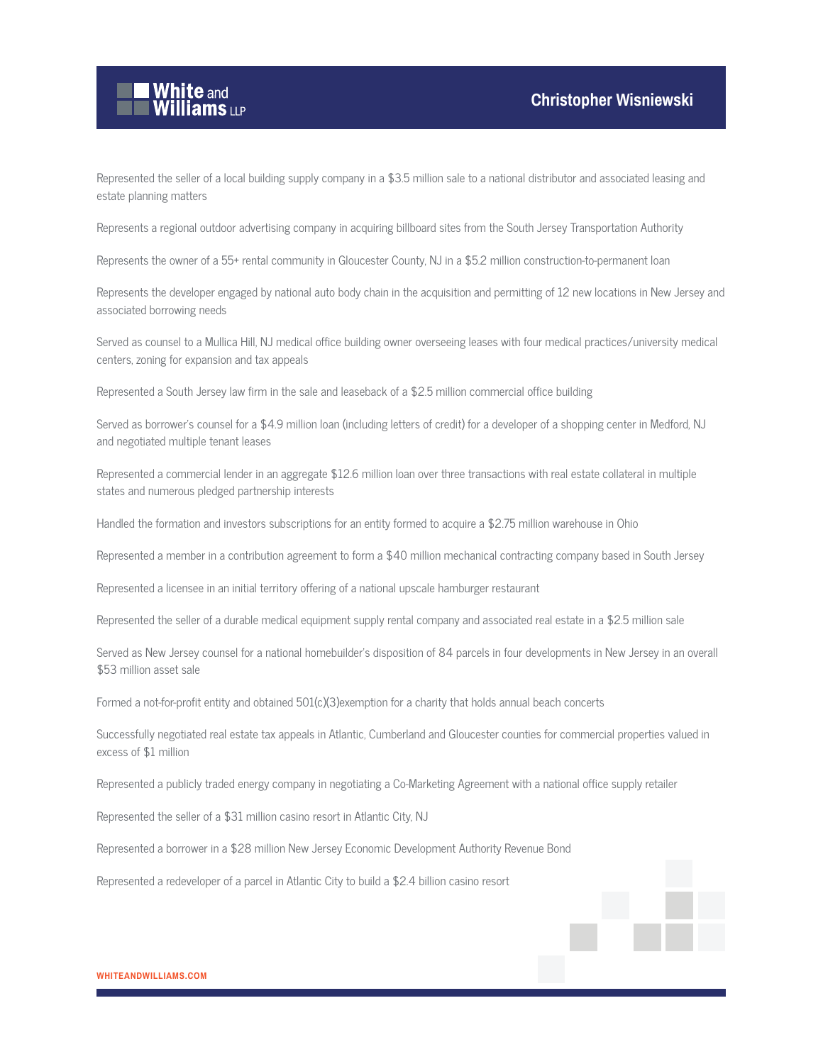

Represented the seller of a local building supply company in a \$3.5 million sale to a national distributor and associated leasing and estate planning matters

Represents a regional outdoor advertising company in acquiring billboard sites from the South Jersey Transportation Authority

Represents the owner of a 55+ rental community in Gloucester County, NJ in a \$5.2 million construction-to-permanent loan

Represents the developer engaged by national auto body chain in the acquisition and permitting of 12 new locations in New Jersey and associated borrowing needs

Served as counsel to a Mullica Hill, NJ medical office building owner overseeing leases with four medical practices/university medical centers, zoning for expansion and tax appeals

Represented a South Jersey law firm in the sale and leaseback of a \$2.5 million commercial office building

Served as borrower's counsel for a \$4.9 million loan (including letters of credit) for a developer of a shopping center in Medford, NJ and negotiated multiple tenant leases

Represented a commercial lender in an aggregate \$12.6 million loan over three transactions with real estate collateral in multiple states and numerous pledged partnership interests

Handled the formation and investors subscriptions for an entity formed to acquire a \$2.75 million warehouse in Ohio

Represented a member in a contribution agreement to form a \$40 million mechanical contracting company based in South Jersey

Represented a licensee in an initial territory offering of a national upscale hamburger restaurant

Represented the seller of a durable medical equipment supply rental company and associated real estate in a \$2.5 million sale

Served as New Jersey counsel for a national homebuilder's disposition of 84 parcels in four developments in New Jersey in an overall \$53 million asset sale

Formed a not-for-profit entity and obtained 501(c)(3)exemption for a charity that holds annual beach concerts

Successfully negotiated real estate tax appeals in Atlantic, Cumberland and Gloucester counties for commercial properties valued in excess of \$1 million

Represented a publicly traded energy company in negotiating a Co-Marketing Agreement with a national office supply retailer

Represented the seller of a \$31 million casino resort in Atlantic City, NJ

Represented a borrower in a \$28 million New Jersey Economic Development Authority Revenue Bond

Represented a redeveloper of a parcel in Atlantic City to build a \$2.4 billion casino resort